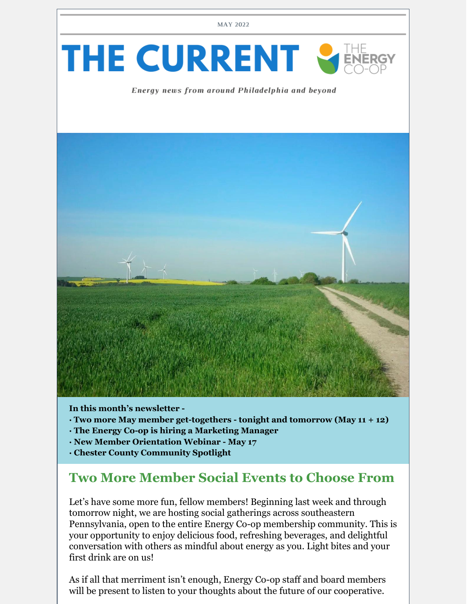



#### Energy news from around Philadelphia and beyond



**In this month's newsletter -**

- **· Two more May member get-togethers - tonight and tomorrow (May 11 + 12)**
- **· The Energy Co-op is hiring a Marketing Manager**
- **· New Member Orientation Webinar - May 17**
- **· Chester County Community Spotlight**

## **Two More Member Social Events to Choose From**

Let's have some more fun, fellow members! Beginning last week and through tomorrow night, we are hosting social gatherings across southeastern Pennsylvania, open to the entire Energy Co-op membership community. This is your opportunity to enjoy delicious food, refreshing beverages, and delightful conversation with others as mindful about energy as you. Light bites and your first drink are on us!

As if all that merriment isn't enough, Energy Co-op staff and board members will be present to listen to your thoughts about the future of our cooperative.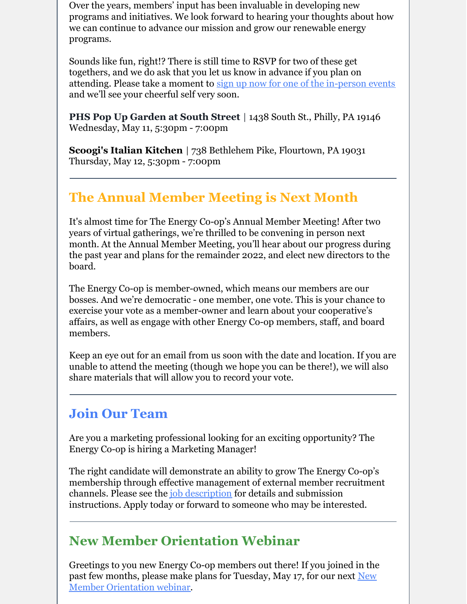Over the years, members' input has been invaluable in developing new programs and initiatives. We look forward to hearing your thoughts about how we can continue to advance our mission and grow our renewable energy programs.

Sounds like fun, right!? There is still time to RSVP for two of these get togethers, and we do ask that you let us know in advance if you plan on attending. Please take a moment to sign up now for one of the [in-person](https://docs.google.com/forms/d/e/1FAIpQLSdG63QwWksc-smsc6ytpaXzDivB2vD9V5ADTiAGPzgNMoH8bA/viewform) events and we'll see your cheerful self very soon.

**PHS Pop Up Garden at South Street** | 1438 South St., Philly, PA 19146 Wednesday, May 11, 5:30pm - 7:00pm

**Scoogi's Italian Kitchen** | 738 Bethlehem Pike, Flourtown, PA 19031 Thursday, May 12, 5:30pm - 7:00pm

# **The Annual Member Meeting is Next Month**

It's almost time for The Energy Co-op's Annual Member Meeting! After two years of virtual gatherings, we're thrilled to be convening in person next month. At the Annual Member Meeting, you'll hear about our progress during the past year and plans for the remainder 2022, and elect new directors to the board.

The Energy Co-op is member-owned, which means our members are our bosses. And we're democratic - one member, one vote. This is your chance to exercise your vote as a member-owner and learn about your cooperative's affairs, as well as engage with other Energy Co-op members, staff, and board members.

Keep an eye out for an email from us soon with the date and location. If you are unable to attend the meeting (though we hope you can be there!), we will also share materials that will allow you to record your vote.

## **Join Our Team**

Are you a marketing professional looking for an exciting opportunity? The Energy Co-op is hiring a Marketing Manager!

The right candidate will demonstrate an ability to grow The Energy Co-op's membership through effective management of external member recruitment channels. Please see the *job* [description](https://www.theenergy.coop/about/careers/) for details and submission instructions. Apply today or forward to someone who may be interested.

## **New Member Orientation Webinar**

Greetings to you new Energy Co-op members out there! If you joined in the past few months, please make plans for Tuesday, May 17, for our next New Member [Orientation](https://us02web.zoom.us/webinar/register/WN_zWCLuMOkSR-Mz6EDqLSJoQ) webinar.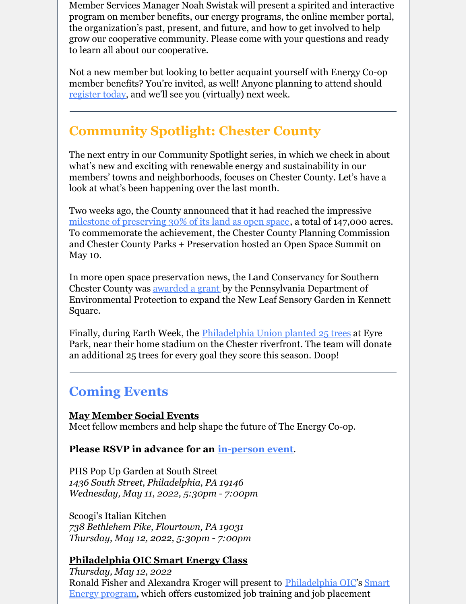Member Services Manager Noah Swistak will present a spirited and interactive program on member benefits, our energy programs, the online member portal, the organization's past, present, and future, and how to get involved to help grow our cooperative community. Please come with your questions and ready to learn all about our cooperative.

Not a new member but looking to better acquaint yourself with Energy Co-op member benefits? You're invited, as well! Anyone planning to attend should [register](https://us02web.zoom.us/webinar/register/WN_zWCLuMOkSR-Mz6EDqLSJoQ) today, and we'll see you (virtually) next week.

# **Community Spotlight: Chester County**

The next entry in our Community Spotlight series, in which we check in about what's new and exciting with renewable energy and sustainability in our members' towns and neighborhoods, focuses on Chester County. Let's have a look at what's been happening over the last month.

Two weeks ago, the County announced that it had reached the impressive milestone of [preserving](https://www.unionvilletimes.com/?p=50264) 30% of its land as open space, a total of 147,000 acres. To commemorate the achievement, the Chester County Planning Commission and Chester County Parks + Preservation hosted an Open Space Summit on May 10.

In more open space preservation news, the Land Conservancy for Southern Chester County was <u>[awarded](https://www.media.pa.gov/pages/DEP_details.aspx?newsid=1584) a grant</u> by the Pennsylvania Department of Environmental Protection to expand the New Leaf Sensory Garden in Kennett Square.

Finally, during Earth Week, the [Philadelphia](https://www.philadelphiaunion.com/news/union-and-subaru-of-america-plant-trees-as-part-of-greener-goals-week) Union planted 25 trees at Eyre Park, near their home stadium on the Chester riverfront. The team will donate an additional 25 trees for every goal they score this season. Doop!

## **Coming Events**

**May Member Social Events** Meet fellow members and help shape the future of The Energy Co-op.

#### **Please RSVP in advance for an [in-person](https://docs.google.com/forms/d/e/1FAIpQLSdG63QwWksc-smsc6ytpaXzDivB2vD9V5ADTiAGPzgNMoH8bA/viewform) event**.

PHS Pop Up Garden at South Street *1436 South Street, Philadelphia, PA 19146 Wednesday, May 11, 2022, 5:30pm - 7:00pm*

Scoogi's Italian Kitchen *738 Bethlehem Pike, Flourtown, PA 19031 Thursday, May 12, 2022, 5:30pm - 7:00pm*

### **Philadelphia OIC Smart Energy Class**

*Thursday, May 12, 2022* Ronald Fisher and Alexandra Kroger will present to [Philadelphi](https://urldefense.proofpoint.com/v2/url?u=https-3A__r20.rs6.net_tn.jsp-3Ff-3D001KZE51vPiPjFA743zyJA8YnMRYGIem1wi-2D5roUWdHFMBSAcME0Kx1K0V0udEq-5FnVilV8f6OYOrxsFoL4ZEOFKjTu-2DpHtQ3CidCgeAFP4MGBv5wr6fA7Zs0fYSYTmfFmR5irUsJX-5FqNsQsxcgNm84smQ-3D-3D-26c-3DJPVdHFrg7-5FGl0cmdrKUO00s90hI30OLhqVy9yCsb2Zmzn2tl8D3E6w-3D-3D-26ch-3Dg8dxbcVl6wA2FJpveXPRuan0cMmbrHlLzn2jTPwFoUzjFW69AMiMdQ-3D-3D&d=DwMFaQ&c=euGZstcaTDllvimEN8b7jXrwqOf-v5A_CdpgnVfiiMM&r=c5CRmAs1gEd2KYrmPGNQ0t6SrpwmS8DYwIoUF1FFQ_A&m=gqA0iAxLhO3xUjc3YgtU2xYLox48t2nGwQV-o5CRV0g&s=pz1bdsL6GpquNIVXbfq65uWgREqNMrACE7VLCeujL3k&e=)[a](https://urldefense.proofpoint.com/v2/url?u=https-3A__r20.rs6.net_tn.jsp-3Ff-3D001KZE51vPiPjFA743zyJA8YnMRYGIem1wi-2D5roUWdHFMBSAcME0Kx1K0V0udEq-5FnViaXaHQpxQPFjDj-2DfHw9Lj-2DU5BsBjZ0WtRA7NlcEFn0usS2shGgApJa0mR2It32W5YhfGPFHSmY29CHbURfmsJk1HiS9WUjYCzOmJblXR0BjEBPnfBO4cpwOQK14MSh3VD-26c-3DJPVdHFrg7-5FGl0cmdrKUO00s90hI30OLhqVy9yCsb2Zmzn2tl8D3E6w-3D-3D-26ch-3Dg8dxbcVl6wA2FJpveXPRuan0cMmbrHlLzn2jTPwFoUzjFW69AMiMdQ-3D-3D&d=DwMFaQ&c=euGZstcaTDllvimEN8b7jXrwqOf-v5A_CdpgnVfiiMM&r=c5CRmAs1gEd2KYrmPGNQ0t6SrpwmS8DYwIoUF1FFQ_A&m=gqA0iAxLhO3xUjc3YgtU2xYLox48t2nGwQV-o5CRV0g&s=Z4rY3wG-KNPJgLUMz06kvK2xg7d9wWNxO3aCAAoGugM&e=) [OIC](https://urldefense.proofpoint.com/v2/url?u=https-3A__r20.rs6.net_tn.jsp-3Ff-3D001KZE51vPiPjFA743zyJA8YnMRYGIem1wi-2D5roUWdHFMBSAcME0Kx1K0V0udEq-5FnVilV8f6OYOrxsFoL4ZEOFKjTu-2DpHtQ3CidCgeAFP4MGBv5wr6fA7Zs0fYSYTmfFmR5irUsJX-5FqNsQsxcgNm84smQ-3D-3D-26c-3DJPVdHFrg7-5FGl0cmdrKUO00s90hI30OLhqVy9yCsb2Zmzn2tl8D3E6w-3D-3D-26ch-3Dg8dxbcVl6wA2FJpveXPRuan0cMmbrHlLzn2jTPwFoUzjFW69AMiMdQ-3D-3D&d=DwMFaQ&c=euGZstcaTDllvimEN8b7jXrwqOf-v5A_CdpgnVfiiMM&r=c5CRmAs1gEd2KYrmPGNQ0t6SrpwmS8DYwIoUF1FFQ_A&m=gqA0iAxLhO3xUjc3YgtU2xYLox48t2nGwQV-o5CRV0g&s=pz1bdsL6GpquNIVXbfq65uWgREqNMrACE7VLCeujL3k&e=)'s Smart Energy program, which offers customized job training and job placement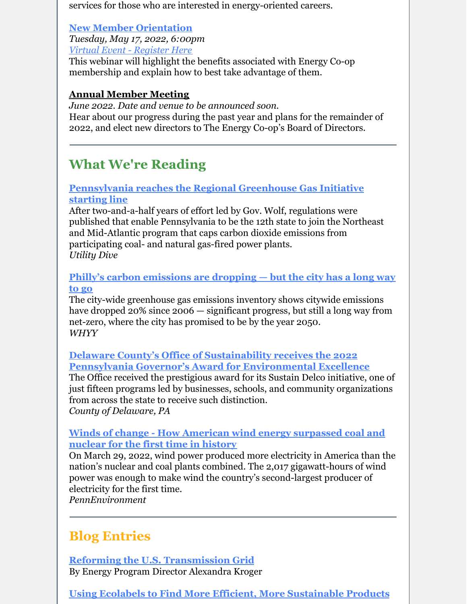services for those who are interested in energy-oriented careers.

#### **New Member [Orientation](https://us02web.zoom.us/webinar/register/WN_zWCLuMOkSR-Mz6EDqLSJoQ)**

*Tuesday, May 17, 2022, 6:00pm Virtual Event - [Register](https://us02web.zoom.us/webinar/register/WN_zWCLuMOkSR-Mz6EDqLSJoQ) Here*

This webinar will highlight the benefits associated with Energy Co-op membership and explain how to best take advantage of them.

#### **Annual Member Meeting**

*June 2022. Date and venue to be announced soon.* Hear about our progress during the past year and plans for the remainder of 2022, and elect new directors to The Energy Co-op's Board of Directors.

# **What We're Reading**

### **[Pennsylvania](https://www.utilitydive.com/news/pennsylvania-reaches-the-regional-greenhouse-gas-initiative-starting-line/622610/) reaches the Regional Greenhouse Gas Initiative starting line**

After two-and-a-half years of effort led by Gov. Wolf, regulations were published that enable Pennsylvania to be the 12th state to join the Northeast and Mid-Atlantic program that caps carbon dioxide emissions from participating coal- and natural gas-fired power plants. *Utility Dive*

#### **Philly's carbon [emissions](https://whyy.org/articles/phillys-carbon-emissions-dropping-but-still-long-way-to-go/) are dropping — but the city has a long way to go**

The city-wide greenhouse gas emissions inventory shows citywide emissions have dropped 20% since 2006 — significant progress, but still a long way from net-zero, where the city has promised to be by the year 2050. *WHYY*

#### **Delaware County's Office of Sustainability receives the 2022 Pennsylvania Governor's Award for [Environmental](https://www.delcopa.gov/publicrelations/releases/2022/delcoofficeofsustainabilityreceives2022awardforenvironmentalexcellence.html) Excellence**

The Office received the prestigious award for its Sustain Delco initiative, one of just fifteen programs led by businesses, schools, and community organizations from across the state to receive such distinction. *County of Delaware, PA*

#### **Winds of change - How American wind energy [surpassed](https://pennenvironment.org/blogs/environment-america-blog/ame/winds-change) coal and nuclear for the first time in history**

On March 29, 2022, wind power produced more electricity in America than the nation's nuclear and coal plants combined. The 2,017 gigawatt-hours of wind power was enough to make wind the country's second-largest producer of electricity for the first time.

*PennEnvironment*

# **Blog Entries**

**Reforming the U.S. [Transmission](https://www.theenergy.coop/blog/reforming-the-u-s-transmission-grid/) Grid** By Energy Program Director Alexandra Kroger

**Using Ecolabels to Find More Efficient, More [Sustainable](https://www.theenergy.coop/blog/using-ecolabels-to-find-more-efficient-more-sustainable-products/) Products**